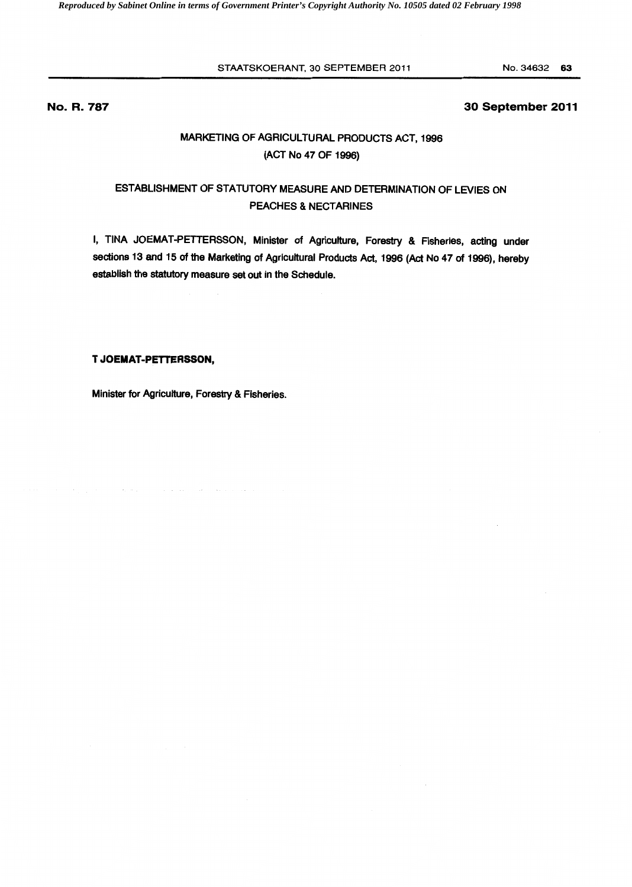#### STAATSKOERANT, 30 SEPTEMBER 2011

No.34632 63

## **No. R. 787**

## **30 September 2011**

# MARKETING OF AGRICULTURAL PRODUCTS ACT, 1996 (ACT No 47 OF 1996)

# ESTABLISHMENT OF STATUTORY MEASURE AND DETERMINATION OF LEVIES ON PEACHES & NECTARINES

I, TINA JOEMAT-PETTERSSON, Minister of Agriculture, Forestry & Fisheries, acting under sections 13 and 15 of the Marketing of Agricultural Products Act, 1996 (Act No 47 of 1996), hereby establish the statutory measure set out in the Schedule.

## **T JOEMAT·PETTERSSON,**

 $\alpha_1$  and  $\beta_2$ 

Minister for Agriculture, Forestry & Fisheries.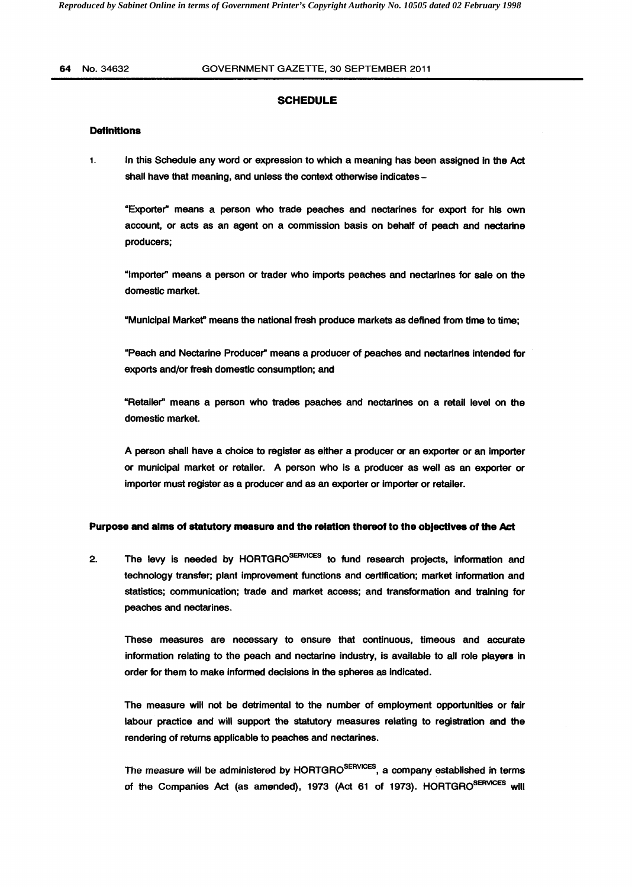### **SCHEDULE**

#### **Definitions**

1. In this Schedule any word or expression to which a meaning has been assigned in the Act shall have that meaning, and unless the context otherwise indicates -

"Exporter" means a person who trade peaches and nectarines for export for his own account, or acts as an agent on a commission basis on behalf of peach and nectarine producers;

"Importer" means a person or trader who imports peaches and nectarines for sale on the domestic market.

"Municipal Market" means the national fresh produce markets as defined from time to time;

"Peach and Nectarine Producer" means a producer of peaches and nectarines Intended for exports and/or fresh domestic consumption; and

"Retailer" means a person who trades peaches and nectarines on a retail level on the domestic market.

A person shall have a choice to register as either a producer or an exporter or an importer or municipal market or retailer. A person who is a producer as well as an exporter or importer must register as a producer and as an exporter or Importer or retailer.

#### Purpose and alms of statutory measure and the relation thereof to the objectives of the Act

2. The levy is needed by HORTGRO<sup>SERVICES</sup> to fund research projects, information and technology transfer; plant improvement functions and certification; market information and statistics; communication; trade and market access; and transformation and training for peaches and nectarines.

These measures are necessary to ensure that continuous, timeous and accurate information relating to the peach and nectarine industry, is available to all role players in order for them to make informed decisions in the spheres as Indicated.

The measure will not be detrimental to the number of employment opportunities or fair labour practice and will support the statutory measures relating to registration and the rendering of returns applicable to peaches and nectarines.

The measure will be administered by HORTGRO<sup>SERVICES</sup>, a company established in terms of the Companies Act (as amended), 1973 (Act 61 of 1973). HORTGRO<sup>SERVICES</sup> will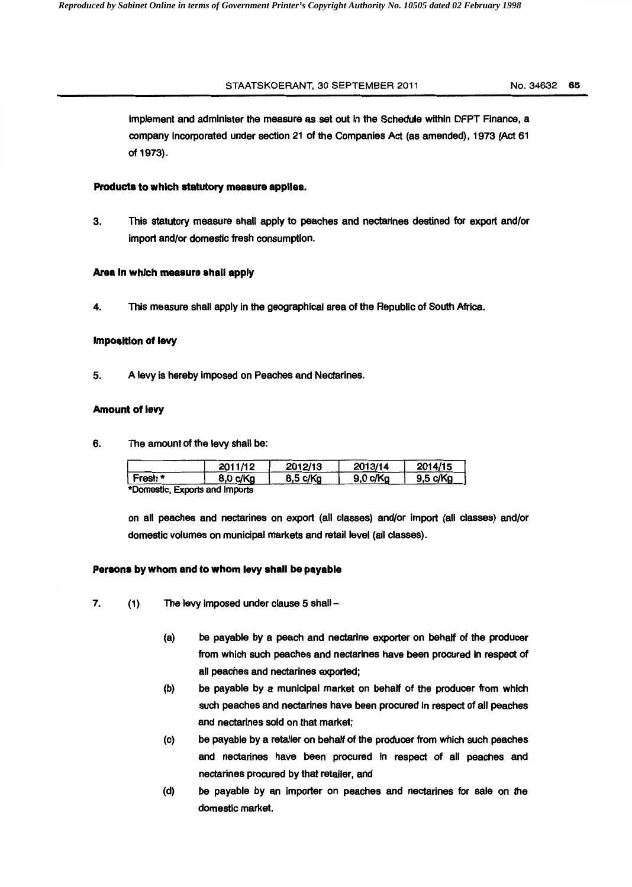## STAATSKOERANT, 30 SEPTEMBER 2011 No. 34632 65

Implement and administer the measure as set out In the Schedule within DFPT Finance, a company incorporated under section 21 of the Companies Act (as amended), 1973 (Act 61 of 1973).

#### **Products to which statutory measure applies.**

3. This statutory measure shall apply to peaches and nectarines destined for export and/or import and/or domestic fresh consumption.

#### **Area In which measure shall apply**

4. This measure shall apply in the geographical area of the Republic of South Africa.

#### **Imposition of levy**

5. A levy is hereby Imposed on Peaches and Nectarines.

## **Amount of levy**

6. The amount of the levy shall be:

|         | 2011/12                    | 2012/13  | 2013/14  | 2014/15  |
|---------|----------------------------|----------|----------|----------|
| Fresh * | 8.0 c/Ka                   | 8,5 c/Kg | 9.0 c/Ka | 9,5 c/Kg |
| .       | Francuska, and because the |          |          |          |

\*Domestic, Exports and Imports

on all peaches and nectarines on export (all classes) and/or import (all classes) and/or domestic volumes on municipal markets and retail level (all classes).

#### **Persons by whom and to whom levy shall be payable**

- 7. (1) The levy imposed under clause 5 shall -
	- (a) be payable by a peach and nectarine exporter on behalf of the producer from which such peaches and nectarines have been procured in respect of all peaches and nectarines exported;
	- (b) be payable by a municipal market on behalf of the producer from which such peaches and nectarines have been procured in respect of all peaches and nectarines sold on that market;
	- (c) be payable by a retailer on behalf of the producer from which such peaches and nectarines have been procured in respect of all peaches and nectarines procured by that retailer, and
	- (d) be payable by an importer on peaches and nectarines for sale on the domestic market.